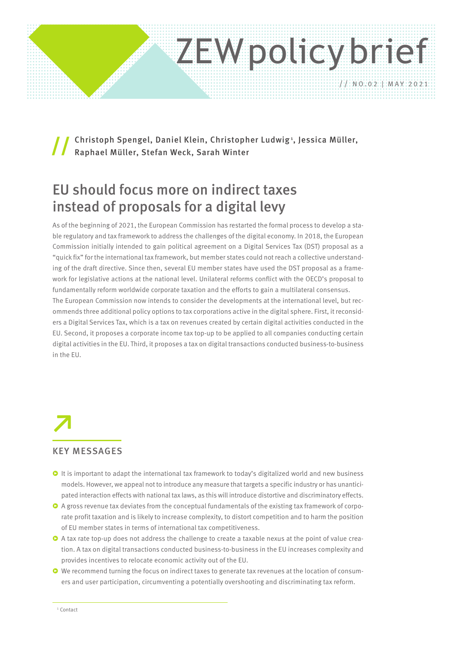# ZEWpolicy brief // NO.02 | MAY 2021

Christoph Spengel, Daniel Klein, Christopher Ludwig', Jessica Müller, Raphael Müller, Stefan Weck, Sarah Winter //

# EU should focus more on indirect taxes instead of proposals for a digital levy

As of the beginning of 2021, the European Commission has restarted the formal process to develop a stable regulatory and tax framework to address the challenges of the digital economy. In 2018, the European Commission initially intended to gain political agreement on a Digital Services Tax (DST) proposal as a "quick fix" for the international tax framework, but member states could not reach a collective understanding of the draft directive. Since then, several EU member states have used the DST proposal as a framework for legislative actions at the national level. Unilateral reforms conflict with the OECD's proposal to fundamentally reform worldwide corporate taxation and the efforts to gain a multilateral consensus. The European Commission now intends to consider the developments at the international level, but recommends three additional policy options to tax corporations active in the digital sphere. First, it reconsiders a Digital Services Tax, which is a tax on revenues created by certain digital activities conducted in the EU. Second, it proposes a corporate income tax top-up to be applied to all companies conducting certain digital activities in the EU. Third, it proposes a tax on digital transactions conducted business-to-business in the EU.

**↗**

#### KEY MESSAGES

- **O** It is important to adapt the international tax framework to today's digitalized world and new business models. However, we appeal not to introduce any measure that targets a specific industry or has unanticipated interaction effects with national tax laws, as this will introduce distortive and discriminatory effects.
- ͮ A gross revenue tax deviates from the conceptual fundamentals of the existing tax framework of corporate profit taxation and is likely to increase complexity, to distort competition and to harm the position of EU member states in terms of international tax competitiveness.
- $\bullet$  A tax rate top-up does not address the challenge to create a taxable nexus at the point of value creation. A tax on digital transactions conducted business-to-business in the EU increases complexity and provides incentives to relocate economic activity out of the EU.
- ͮ We recommend turning the focus on indirect taxes to generate tax revenues at the location of consumers and user participation, circumventing a potentially overshooting and discriminating tax reform.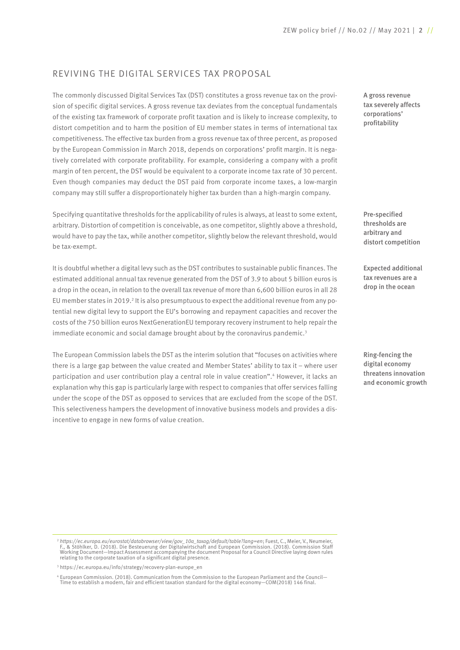### REVIVING THE DIGITAL SERVICES TAX PROPOSAL

The commonly discussed Digital Services Tax (DST) constitutes a gross revenue tax on the provision of specific digital services. A gross revenue tax deviates from the conceptual fundamentals of the existing tax framework of corporate profit taxation and is likely to increase complexity, to distort competition and to harm the position of EU member states in terms of international tax competitiveness. The effective tax burden from a gross revenue tax of three percent, as proposed by the European Commission in March 2018, depends on corporations' profit margin. It is negatively correlated with corporate profitability. For example, considering a company with a profit margin of ten percent, the DST would be equivalent to a corporate income tax rate of 30 percent. Even though companies may deduct the DST paid from corporate income taxes, a low-margin company may still suffer a disproportionately higher tax burden than a high-margin company.

Specifying quantitative thresholds for the applicability of rules is always, at least to some extent, arbitrary. Distortion of competition is conceivable, as one competitor, slightly above a threshold, would have to pay the tax, while another competitor, slightly below the relevant threshold, would be tax-exempt.

It is doubtful whether a digital levy such as the DST contributes to sustainable public finances. The estimated additional annual tax revenue generated from the DST of 3.9 to about 5 billion euros is a drop in the ocean, in relation to the overall tax revenue of more than 6,600 billion euros in all 28 EU member states in 2019.<sup>2</sup> It is also presumptuous to expect the additional revenue from any potential new digital levy to support the EU's borrowing and repayment capacities and recover the costs of the 750 billion euros NextGenerationEU temporary recovery instrument to help repair the immediate economic and social damage brought about by the coronavirus pandemic.<sup>3</sup>

The European Commission labels the DST as the interim solution that "focuses on activities where there is a large gap between the value created and Member States' ability to tax it – where user participation and user contribution play a central role in value creation".4 However, it lacks an explanation why this gap is particularly large with respect to companies that offer services falling under the scope of the DST as opposed to services that are excluded from the scope of the DST. This selectiveness hampers the development of innovative business models and provides a disincentive to engage in new forms of value creation.

A gross revenue tax severely affects corporations' profitability

Pre-specified thresholds are arbitrary and distort competition

Expected additional tax revenues are a drop in the ocean

Ring-fencing the digital economy threatens innovation and economic growth

dt*tps://ec.europa.eu/eurostat/databrowser/view/gov\_10a\_taxag/default/table?lang=en; Fuest, C., Meier, V., Neumeier? المسافر F., & Stöhlker, D. Die Besteuerung der Patamission Staff<br>F., & Stöhlker, D. (2018). Die Besteuer* relating to the corporate taxation of a significant digital presence.

<sup>3</sup> https://ec.europa.eu/info/strategy/recovery-plan-europe\_en

<sup>4</sup> European Commission. (2018). Communication from the Commission to the European Parliament and the Council— Time to establish a modern, fair and efficient taxation standard for the digital economy—COM(2018) 146 final.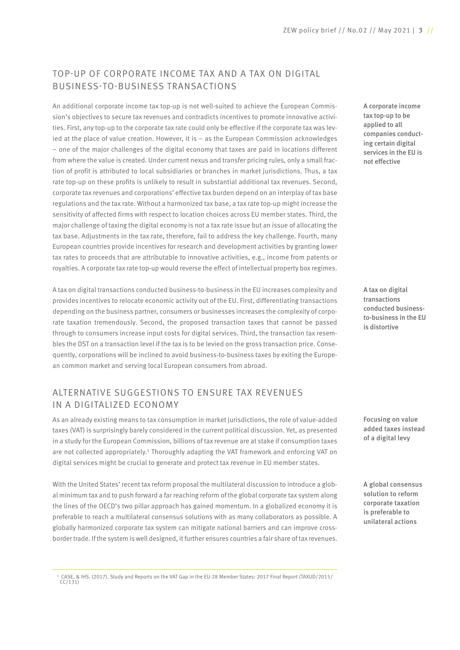## TOP-UP OF CORPORATE INCOME TAX AND A TAX ON DIGITAL BUSINESS-TO-BUSINESS TRANSACTIONS

An additional corporate income tax top-up is not well-suited to achieve the European Commission's objectives to secure tax revenues and contradicts incentives to promote innovative activities. First, any top-up to the corporate tax rate could only be effective if the corporate tax was levied at the place of value creation. However, it is – as the European Commission acknowledges – one of the major challenges of the digital economy that taxes are paid in locations different from where the value is created. Under current nexus and transfer pricing rules, only a small fraction of profit is attributed to local subsidiaries or branches in market jurisdictions. Thus, a tax rate top-up on these profits is unlikely to result in substantial additional tax revenues. Second, corporate tax revenues and corporations' effective tax burden depend on an interplay of tax base regulations and the tax rate. Without a harmonized tax base, a tax rate top-up might increase the sensitivity of affected firms with respect to location choices across EU member states. Third, the major challenge of taxing the digital economy is not a tax rate issue but an issue of allocating the tax base. Adjustments in the tax rate, therefore, fail to address the key challenge. Fourth, many European countries provide incentives for research and development activities by granting lower tax rates to proceeds that are attributable to innovative activities, e.g., income from patents or royalties. A corporate tax rate top-up would reverse the effect of intellectual property box regimes.

A tax on digital transactions conducted business-to-business in the EU increases complexity and provides incentives to relocate economic activity out of the EU. First, differentiating transactions depending on the business partner, consumers or businesses increases the complexity of corporate taxation tremendously. Second, the proposed transaction taxes that cannot be passed through to consumers increase input costs for digital services. Third, the transaction tax resembles the DST on a transaction level if the tax is to be levied on the gross transaction price. Consequently, corporations will be inclined to avoid business-to-business taxes by exiting the European common market and serving local European consumers from abroad.

### ALTERNATIVE SUGGESTIONS TO ENSURE TAX REVENUES IN A DIGITALIZED ECONOMY

As an already existing means to tax consumption in market jurisdictions, the role of value-added taxes (VAT) is surprisingly barely considered in the current political discussion. Yet, as presented in a study for the European Commission, billions of tax revenue are at stake if consumption taxes are not collected appropriately.<sup>5</sup> Thoroughly adapting the VAT framework and enforcing VAT on digital services might be crucial to generate and protect tax revenue in EU member states.

With the United States' recent tax reform proposal the multilateral discussion to introduce a global minimum tax and to push forward a far reaching reform of the global corporate tax system along the lines of the OECD's two pillar approach has gained momentum. In a globalized economy it is preferable to reach a multilateral consensus solutions with as many collaborators as possible. A globally harmonized corporate tax system can mitigate national barriers and can improve crossborder trade. If the system is well designed, it further ensures countries a fair share of tax revenues. A corporate income tax top-up to be applied to all companies conducting certain digital services in the EU is not effective

A tax on digital transactions conducted businessto-business in the EU is distortive

Focusing on value added taxes instead of a digital levy

A global consensus solution to reform corporate taxation is preferable to unilateral actions

<sup>5</sup> CASE, & IHS. (2017). Study and Reports on the VAT Gap in the EU-28 Member States: 2017 Final Report (TAXUD/2015/  $CC/131$